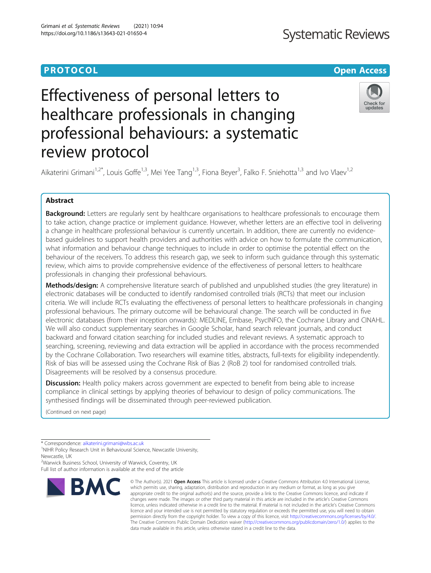# **PROTOCOL CONSUMING THE CONSUMING TEACHER CONSUMING THE CONSUMING TEACHER CONSUMING THE CONSUMING TEACHER CONSUMING**

# **Systematic Reviews**

# Effectiveness of personal letters to healthcare professionals in changing professional behaviours: a systematic review protocol



Aikaterini Grimani<sup>1,2\*</sup>, Louis Goffe<sup>1,3</sup>, Mei Yee Tang<sup>1,3</sup>, Fiona Beyer<sup>3</sup>, Falko F. Sniehotta<sup>1,3</sup> and Ivo Vlaev<sup>1,2</sup>

# Abstract

Background: Letters are regularly sent by healthcare organisations to healthcare professionals to encourage them to take action, change practice or implement guidance. However, whether letters are an effective tool in delivering a change in healthcare professional behaviour is currently uncertain. In addition, there are currently no evidencebased guidelines to support health providers and authorities with advice on how to formulate the communication, what information and behaviour change techniques to include in order to optimise the potential effect on the behaviour of the receivers. To address this research gap, we seek to inform such guidance through this systematic review, which aims to provide comprehensive evidence of the effectiveness of personal letters to healthcare professionals in changing their professional behaviours.

Methods/design: A comprehensive literature search of published and unpublished studies (the grey literature) in electronic databases will be conducted to identify randomised controlled trials (RCTs) that meet our inclusion criteria. We will include RCTs evaluating the effectiveness of personal letters to healthcare professionals in changing professional behaviours. The primary outcome will be behavioural change. The search will be conducted in five electronic databases (from their inception onwards): MEDLINE, Embase, PsycINFO, the Cochrane Library and CINAHL. We will also conduct supplementary searches in Google Scholar, hand search relevant journals, and conduct backward and forward citation searching for included studies and relevant reviews. A systematic approach to searching, screening, reviewing and data extraction will be applied in accordance with the process recommended by the Cochrane Collaboration. Two researchers will examine titles, abstracts, full-texts for eligibility independently. Risk of bias will be assessed using the Cochrane Risk of Bias 2 (RoB 2) tool for randomised controlled trials. Disagreements will be resolved by a consensus procedure.

Discussion: Health policy makers across government are expected to benefit from being able to increase compliance in clinical settings by applying theories of behaviour to design of policy communications. The synthesised findings will be disseminated through peer-reviewed publication.

(Continued on next page)

<sup>2</sup>Warwick Business School, University of Warwick, Coventry, UK Full list of author information is available at the end of the article



<sup>©</sup> The Author(s), 2021 **Open Access** This article is licensed under a Creative Commons Attribution 4.0 International License, which permits use, sharing, adaptation, distribution and reproduction in any medium or format, as long as you give appropriate credit to the original author(s) and the source, provide a link to the Creative Commons licence, and indicate if changes were made. The images or other third party material in this article are included in the article's Creative Commons licence, unless indicated otherwise in a credit line to the material. If material is not included in the article's Creative Commons licence and your intended use is not permitted by statutory regulation or exceeds the permitted use, you will need to obtain permission directly from the copyright holder. To view a copy of this licence, visit [http://creativecommons.org/licenses/by/4.0/.](http://creativecommons.org/licenses/by/4.0/) The Creative Commons Public Domain Dedication waiver [\(http://creativecommons.org/publicdomain/zero/1.0/](http://creativecommons.org/publicdomain/zero/1.0/)) applies to the data made available in this article, unless otherwise stated in a credit line to the data.

<sup>\*</sup> Correspondence: [aikaterini.grimani@wbs.ac.uk](mailto:aikaterini.grimani@wbs.ac.uk)<br><sup>1</sup>NIHR Policy Research Unit in Behavioural Science, Newcastle University, Newcastle, UK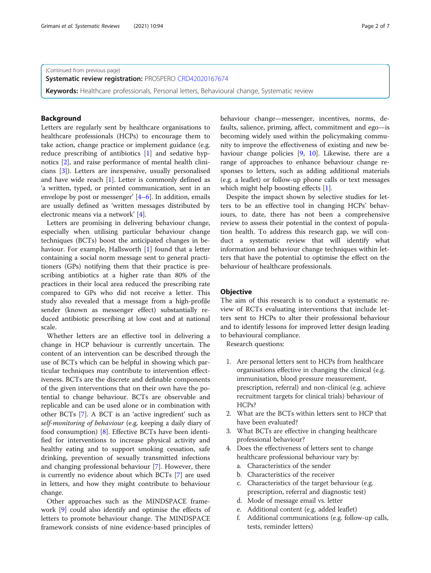(Continued from previous page)

Systematic review registration: PROSPERO [CRD42020167674](https://www.crd.york.ac.uk/prospero/display_record.php?ID=CRD42020167674)

Keywords: Healthcare professionals, Personal letters, Behavioural change, Systematic review

# Background

Letters are regularly sent by healthcare organisations to healthcare professionals (HCPs) to encourage them to take action, change practice or implement guidance (e.g. reduce prescribing of antibiotics [\[1](#page-5-0)] and sedative hypnotics [[2\]](#page-5-0), and raise performance of mental health clinicians [\[3\]](#page-5-0)). Letters are inexpensive, usually personalised and have wide reach  $[1]$  $[1]$ . Letter is commonly defined as 'a written, typed, or printed communication, sent in an envelope by post or messenger' [\[4](#page-5-0)–[6](#page-5-0)]. In addition, emails are usually defined as 'written messages distributed by electronic means via a network' [\[4](#page-5-0)].

Letters are promising in delivering behaviour change, especially when utilising particular behaviour change techniques (BCTs) boost the anticipated changes in behaviour. For example, Hallsworth [\[1](#page-5-0)] found that a letter containing a social norm message sent to general practitioners (GPs) notifying them that their practice is prescribing antibiotics at a higher rate than 80% of the practices in their local area reduced the prescribing rate compared to GPs who did not receive a letter. This study also revealed that a message from a high-profile sender (known as messenger effect) substantially reduced antibiotic prescribing at low cost and at national scale.

Whether letters are an effective tool in delivering a change in HCP behaviour is currently uncertain. The content of an intervention can be described through the use of BCTs which can be helpful in showing which particular techniques may contribute to intervention effectiveness. BCTs are the discrete and definable components of the given interventions that on their own have the potential to change behaviour. BCTs are observable and replicable and can be used alone or in combination with other BCTs [[7\]](#page-5-0). A BCT is an 'active ingredient' such as self-monitoring of behaviour (e.g. keeping a daily diary of food consumption) [[8](#page-5-0)]. Effective BCTs have been identified for interventions to increase physical activity and healthy eating and to support smoking cessation, safe drinking, prevention of sexually transmitted infections and changing professional behaviour [\[7](#page-5-0)]. However, there is currently no evidence about which BCTs [\[7](#page-5-0)] are used in letters, and how they might contribute to behaviour change.

Other approaches such as the MINDSPACE framework [\[9](#page-5-0)] could also identify and optimise the effects of letters to promote behaviour change. The MINDSPACE framework consists of nine evidence-based principles of behaviour change—messenger, incentives, norms, defaults, salience, priming, affect, commitment and ego—is becoming widely used within the policymaking community to improve the effectiveness of existing and new behaviour change policies [\[9](#page-5-0), [10\]](#page-5-0). Likewise, there are a range of approaches to enhance behaviour change responses to letters, such as adding additional materials (e.g. a leaflet) or follow-up phone calls or text messages which might help boosting effects [\[1](#page-5-0)].

Despite the impact shown by selective studies for letters to be an effective tool in changing HCPs' behaviours, to date, there has not been a comprehensive review to assess their potential in the context of population health. To address this research gap, we will conduct a systematic review that will identify what information and behaviour change techniques within letters that have the potential to optimise the effect on the behaviour of healthcare professionals.

# **Objective**

The aim of this research is to conduct a systematic review of RCTs evaluating interventions that include letters sent to HCPs to alter their professional behaviour and to identify lessons for improved letter design leading to behavioural compliance.

Research questions:

- 1. Are personal letters sent to HCPs from healthcare organisations effective in changing the clinical (e.g. immunisation, blood pressure measurement, prescription, referral) and non-clinical (e.g. achieve recruitment targets for clinical trials) behaviour of HCPs?
- 2. What are the BCTs within letters sent to HCP that have been evaluated?
- 3. What BCTs are effective in changing healthcare professional behaviour?
- 4. Does the effectiveness of letters sent to change healthcare professional behaviour vary by:
	- a. Characteristics of the sender
	- b. Characteristics of the receiver
	- c. Characteristics of the target behaviour (e.g. prescription, referral and diagnostic test)
	- d. Mode of message email vs. letter
	- e. Additional content (e.g. added leaflet)
	- f. Additional communications (e.g. follow-up calls, tests, reminder letters)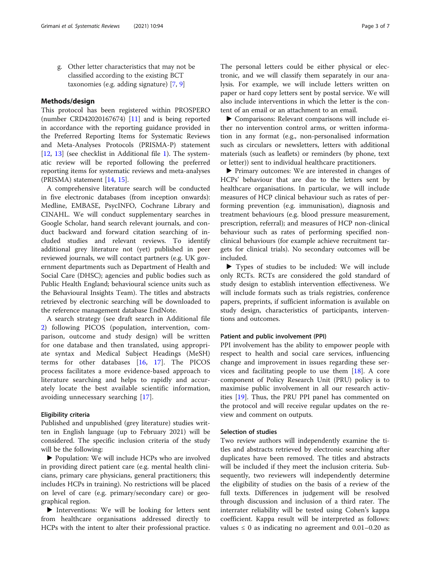g. Other letter characteristics that may not be classified according to the existing BCT taxonomies (e.g. adding signature) [[7,](#page-5-0) [9\]](#page-5-0)

# Methods/design

This protocol has been registered within PROSPERO (number CRD42020167674) [\[11\]](#page-5-0) and is being reported in accordance with the reporting guidance provided in the Preferred Reporting Items for Systematic Reviews and Meta-Analyses Protocols (PRISMA-P) statement [[12,](#page-5-0) [13](#page-5-0)] (see checklist in Additional file [1](#page-5-0)). The systematic review will be reported following the preferred reporting items for systematic reviews and meta-analyses (PRISMA) statement [\[14,](#page-5-0) [15\]](#page-5-0).

A comprehensive literature search will be conducted in five electronic databases (from inception onwards): Medline, EMBASE, PsycINFO, Cochrane Library and CINAHL. We will conduct supplementary searches in Google Scholar, hand search relevant journals, and conduct backward and forward citation searching of included studies and relevant reviews. To identify additional grey literature not (yet) published in peer reviewed journals, we will contact partners (e.g. UK government departments such as Department of Health and Social Care (DHSC); agencies and public bodies such as Public Health England; behavioural science units such as the Behavioural Insights Team). The titles and abstracts retrieved by electronic searching will be downloaded to the reference management database EndNote.

A search strategy (see draft search in Additional file [2\)](#page-5-0) following PICOS (population, intervention, comparison, outcome and study design) will be written for one database and then translated, using appropriate syntax and Medical Subject Headings (MeSH) terms for other databases [[16,](#page-5-0) [17\]](#page-5-0). The PICOS process facilitates a more evidence-based approach to literature searching and helps to rapidly and accurately locate the best available scientific information, avoiding unnecessary searching [[17\]](#page-5-0).

# Eligibility criteria

Published and unpublished (grey literature) studies written in English language (up to February 2021) will be considered. The specific inclusion criteria of the study will be the following:

▶ Population: We will include HCPs who are involved in providing direct patient care (e.g. mental health clinicians, primary care physicians, general practitioners; this includes HCPs in training). No restrictions will be placed on level of care (e.g. primary/secondary care) or geographical region.

▶ Interventions: We will be looking for letters sent from healthcare organisations addressed directly to HCPs with the intent to alter their professional practice.

The personal letters could be either physical or electronic, and we will classify them separately in our analysis. For example, we will include letters written on paper or hard copy letters sent by postal service. We will also include interventions in which the letter is the content of an email or an attachment to an email.

▶ Comparisons: Relevant comparisons will include either no intervention control arms, or written information in any format (e.g., non-personalised information such as circulars or newsletters, letters with additional materials (such as leaflets) or reminders (by phone, text or letter)) sent to individual healthcare practitioners.

▶ Primary outcomes: We are interested in changes of HCPs' behaviour that are due to the letters sent by healthcare organisations. In particular, we will include measures of HCP clinical behaviour such as rates of performing prevention (e.g. immunisation), diagnosis and treatment behaviours (e.g. blood pressure measurement, prescription, referral); and measures of HCP non-clinical behaviour such as rates of performing specified nonclinical behaviours (for example achieve recruitment targets for clinical trials). No secondary outcomes will be included.

▶ Types of studies to be included: We will include only RCTs. RCTs are considered the gold standard of study design to establish intervention effectiveness. We will include formats such as trials registries, conference papers, preprints, if sufficient information is available on study design, characteristics of participants, interventions and outcomes.

# Patient and public involvement (PPI)

PPI involvement has the ability to empower people with respect to health and social care services, influencing change and improvement in issues regarding these services and facilitating people to use them [\[18\]](#page-5-0). A core component of Policy Research Unit (PRU) policy is to maximise public involvement in all our research activities [\[19](#page-6-0)]. Thus, the PRU PPI panel has commented on the protocol and will receive regular updates on the review and comment on outputs.

# Selection of studies

Two review authors will independently examine the titles and abstracts retrieved by electronic searching after duplicates have been removed. The titles and abstracts will be included if they meet the inclusion criteria. Subsequently, two reviewers will independently determine the eligibility of studies on the basis of a review of the full texts. Differences in judgement will be resolved through discussion and inclusion of a third rater. The interrater reliability will be tested using Cohen's kappa coefficient. Kappa result will be interpreted as follows: values  $\leq 0$  as indicating no agreement and 0.01–0.20 as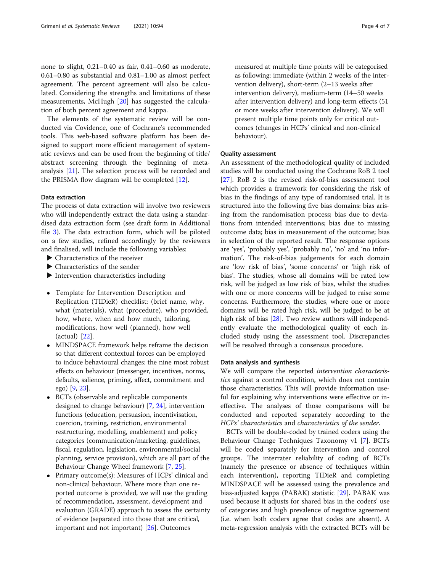none to slight, 0.21–0.40 as fair, 0.41–0.60 as moderate, 0.61–0.80 as substantial and 0.81–1.00 as almost perfect agreement. The percent agreement will also be calculated. Considering the strengths and limitations of these measurements, McHugh [\[20\]](#page-6-0) has suggested the calculation of both percent agreement and kappa.

The elements of the systematic review will be conducted via Covidence, one of Cochrane's recommended tools. This web-based software platform has been designed to support more efficient management of systematic reviews and can be used from the beginning of title/ abstract screening through the beginning of metaanalysis [[21](#page-6-0)]. The selection process will be recorded and the PRISMA flow diagram will be completed [\[12](#page-5-0)].

### Data extraction

The process of data extraction will involve two reviewers who will independently extract the data using a standardised data extraction form (see draft form in Additional file [3](#page-5-0)). The data extraction form, which will be piloted on a few studies, refined accordingly by the reviewers and finalised, will include the following variables:

- ▶ Characteristics of the receiver
- ▶ Characteristics of the sender
- ▶ Intervention characteristics including
- Template for Intervention Description and Replication (TIDieR) checklist: (brief name, why, what (materials), what (procedure), who provided, how, where, when and how much, tailoring, modifications, how well (planned), how well (actual) [[22\]](#page-6-0).
- MINDSPACE framework helps reframe the decision so that different contextual forces can be employed to induce behavioural changes: the nine most robust effects on behaviour (messenger, incentives, norms, defaults, salience, priming, affect, commitment and ego) [[9,](#page-5-0) [23](#page-6-0)].
- BCTs (observable and replicable components designed to change behaviour) [[7,](#page-5-0) [24](#page-6-0)], intervention functions (education, persuasion, incentivisation, coercion, training, restriction, environmental restructuring, modelling, enablement) and policy categories (communication/marketing, guidelines, fiscal, regulation, legislation, environmental/social planning, service provision), which are all part of the Behaviour Change Wheel framework [\[7](#page-5-0), [25\]](#page-6-0).
- Primary outcome(s): Measures of HCPs' clinical and non-clinical behaviour. Where more than one reported outcome is provided, we will use the grading of recommendation, assessment, development and evaluation (GRADE) approach to assess the certainty of evidence (separated into those that are critical, important and not important) [[26](#page-6-0)]. Outcomes

measured at multiple time points will be categorised as following: immediate (within 2 weeks of the intervention delivery), short-term (2–13 weeks after intervention delivery), medium-term (14–50 weeks after intervention delivery) and long-term effects (51 or more weeks after intervention delivery). We will present multiple time points only for critical outcomes (changes in HCPs' clinical and non-clinical behaviour).

# Quality assessment

An assessment of the methodological quality of included studies will be conducted using the Cochrane RoB 2 tool [[27\]](#page-6-0). RoB 2 is the revised risk-of-bias assessment tool which provides a framework for considering the risk of bias in the findings of any type of randomised trial. It is structured into the following five bias domains: bias arising from the randomisation process; bias due to deviations from intended interventions; bias due to missing outcome data; bias in measurement of the outcome; bias in selection of the reported result. The response options are 'yes', 'probably yes', 'probably no', 'no' and 'no information'. The risk-of-bias judgements for each domain are 'low risk of bias', 'some concerns' or 'high risk of bias'. The studies, whose all domains will be rated low risk, will be judged as low risk of bias, whilst the studies with one or more concerns will be judged to raise some concerns. Furthermore, the studies, where one or more domains will be rated high risk, will be judged to be at high risk of bias [[28](#page-6-0)]. Two review authors will independently evaluate the methodological quality of each included study using the assessment tool. Discrepancies will be resolved through a consensus procedure.

# Data analysis and synthesis

We will compare the reported intervention characteristics against a control condition, which does not contain those characteristics. This will provide information useful for explaining why interventions were effective or ineffective. The analyses of those comparisons will be conducted and reported separately according to the HCPs' characteristics and characteristics of the sender.

BCTs will be double-coded by trained coders using the Behaviour Change Techniques Taxonomy v1 [\[7](#page-5-0)]. BCTs will be coded separately for intervention and control groups. The interrater reliability of coding of BCTs (namely the presence or absence of techniques within each intervention), reporting TIDieR and completing MINDSPACE will be assessed using the prevalence and bias-adjusted kappa (PABAK) statistic [\[29](#page-6-0)]. PABAK was used because it adjusts for shared bias in the coders' use of categories and high prevalence of negative agreement (i.e. when both coders agree that codes are absent). A meta-regression analysis with the extracted BCTs will be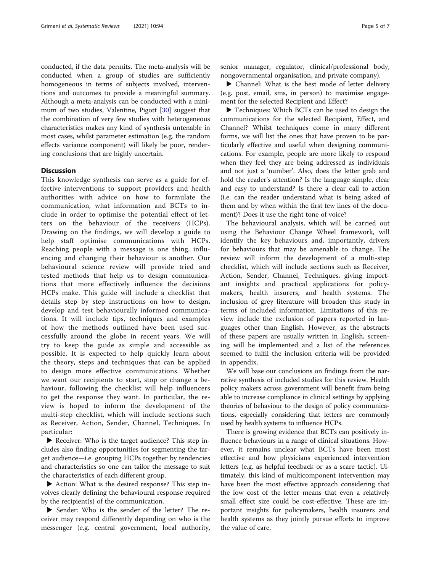conducted, if the data permits. The meta-analysis will be conducted when a group of studies are sufficiently homogeneous in terms of subjects involved, interventions and outcomes to provide a meaningful summary. Although a meta-analysis can be conducted with a minimum of two studies, Valentine, Pigott [[30\]](#page-6-0) suggest that the combination of very few studies with heterogeneous characteristics makes any kind of synthesis untenable in most cases, whilst parameter estimation (e.g. the random effects variance component) will likely be poor, rendering conclusions that are highly uncertain.

# **Discussion**

This knowledge synthesis can serve as a guide for effective interventions to support providers and health authorities with advice on how to formulate the communication, what information and BCTs to include in order to optimise the potential effect of letters on the behaviour of the receivers (HCPs). Drawing on the findings, we will develop a guide to help staff optimise communications with HCPs. Reaching people with a message is one thing, influencing and changing their behaviour is another. Our behavioural science review will provide tried and tested methods that help us to design communications that more effectively influence the decisions HCPs make. This guide will include a checklist that details step by step instructions on how to design, develop and test behaviourally informed communications. It will include tips, techniques and examples of how the methods outlined have been used successfully around the globe in recent years. We will try to keep the guide as simple and accessible as possible. It is expected to help quickly learn about the theory, steps and techniques that can be applied to design more effective communications. Whether we want our recipients to start, stop or change a behaviour, following the checklist will help influencers to get the response they want. In particular, the review is hoped to inform the development of the multi-step checklist, which will include sections such as Receiver, Action, Sender, Channel, Techniques. In particular:

▶ Receiver: Who is the target audience? This step includes also finding opportunities for segmenting the target audience—i.e. grouping HCPs together by tendencies and characteristics so one can tailor the message to suit the characteristics of each different group.

▶ Action: What is the desired response? This step involves clearly defining the behavioural response required by the recipient(s) of the communication.

▶ Sender: Who is the sender of the letter? The receiver may respond differently depending on who is the messenger (e.g. central government, local authority, senior manager, regulator, clinical/professional body, nongovernmental organisation, and private company).

▶ Channel: What is the best mode of letter delivery (e.g. post, email, sms, in person) to maximise engagement for the selected Recipient and Effect?

▶ Techniques: Which BCTs can be used to design the communications for the selected Recipient, Effect, and Channel? Whilst techniques come in many different forms, we will list the ones that have proven to be particularly effective and useful when designing communications. For example, people are more likely to respond when they feel they are being addressed as individuals and not just a 'number'. Also, does the letter grab and hold the reader's attention? Is the language simple, clear and easy to understand? Is there a clear call to action (i.e. can the reader understand what is being asked of them and by when within the first few lines of the document)? Does it use the right tone of voice?

The behavioural analysis, which will be carried out using the Behaviour Change Wheel framework, will identify the key behaviours and, importantly, drivers for behaviours that may be amenable to change. The review will inform the development of a multi-step checklist, which will include sections such as Receiver, Action, Sender, Channel, Techniques, giving important insights and practical applications for policymakers, health insurers, and health systems. The inclusion of grey literature will broaden this study in terms of included information. Limitations of this review include the exclusion of papers reported in languages other than English. However, as the abstracts of these papers are usually written in English, screening will be implemented and a list of the references seemed to fulfil the inclusion criteria will be provided in appendix.

We will base our conclusions on findings from the narrative synthesis of included studies for this review. Health policy makers across government will benefit from being able to increase compliance in clinical settings by applying theories of behaviour to the design of policy communications, especially considering that letters are commonly used by health systems to influence HCPs.

There is growing evidence that BCTs can positively influence behaviours in a range of clinical situations. However, it remains unclear what BCTs have been most effective and how physicians experienced intervention letters (e.g. as helpful feedback or as a scare tactic). Ultimately, this kind of multicomponent intervention may have been the most effective approach considering that the low cost of the letter means that even a relatively small effect size could be cost-effective. These are important insights for policymakers, health insurers and health systems as they jointly pursue efforts to improve the value of care.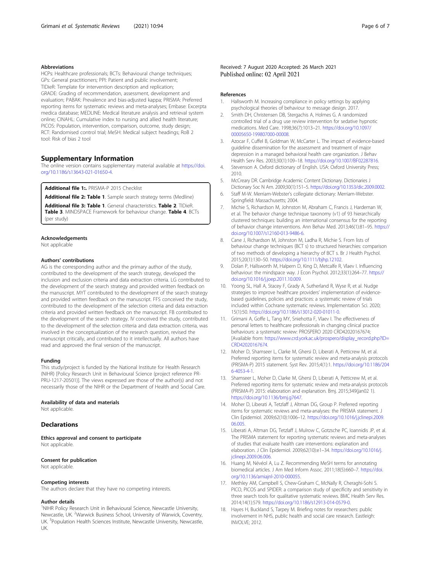# <span id="page-5-0"></span>Abbreviations

HCPs: Healthcare professionals; BCTs: Behavioural change techniques; GPs: General practitioners; PPI: Patient and public involvement; TIDieR: Template for intervention description and replication; GRADE: Grading of recommendation, assessment, development and evaluation; PABAK: Prevalence and bias-adjusted kappa; PRISMA: Preferred reporting items for systematic reviews and meta-analyses; Embase: Excerpta medica database; MEDLINE: Medical literature analysis and retrieval system online; CINAHL: Cumulative index to nursing and allied health literature; PICOS: Population, intervention, comparison, outcome, study design; RCT: Randomised control trial; MeSH: Medical subject headings; RoB 2 tool: Risk of bias 2 tool

# Supplementary Information

The online version contains supplementary material available at [https://doi.](https://doi.org/10.1186/s13643-021-01650-4) [org/10.1186/s13643-021-01650-4.](https://doi.org/10.1186/s13643-021-01650-4)

Additional file 1: PRISMA-P 2015 Checklist

Additional file 2: Table 1. Sample search strategy terms (Medline)

Additional file 3: Table 1. General characteristics. Table 2. TIDieR. Table 3. MINDSPACE Framework for behaviour change. Table 4. BCTs (per study)

#### Acknowledgements

Not applicable

# Authors' contributions

AG is the corresponding author and the primary author of the study, contributed to the development of the search strategy, developed the inclusion and exclusion criteria and data extraction criteria. LG contributed to the development of the search strategy and provided written feedback on the manuscript. MYT contributed to the development of the search strategy and provided written feedback on the manuscript. FFS conceived the study, contributed to the development of the selection criteria and data extraction criteria and provided written feedback on the manuscript. FB contributed to the development of the search strategy. IV conceived the study, contributed to the development of the selection criteria and data extraction criteria, was involved in the conceptualization of the research question, revised the manuscript critically, and contributed to it intellectually. All authors have read and approved the final version of the manuscript.

#### Funding

This study/project is funded by the National Institute for Health Research (NIHR) [Policy Research Unit in Behavioural Science (project reference PR-PRU-1217-20501)]. The views expressed are those of the author(s) and not necessarily those of the NIHR or the Department of Health and Social Care.

### Availability of data and materials

Not applicable.

# **Declarations**

Ethics approval and consent to participate Not applicable.

#### Consent for publication

Not applicable.

#### Competing interests

The authors declare that they have no competing interests.

# Author details

<sup>1</sup>NIHR Policy Research Unit in Behavioural Science, Newcastle University, Newcastle, UK. <sup>2</sup>Warwick Business School, University of Warwick, Coventry, UK. <sup>3</sup>Population Health Sciences Institute, Newcastle University, Newcastle, UK.

# Received: 7 August 2020 Accepted: 26 March 2021 Published online: 02 April 2021

#### References

- 1. Hallsworth M. Increasing compliance in policy settings by applying psychological theories of behaviour to message design. 2017.
- 2. Smith DH, Christensen DB, Stergachis A, Holmes G. A randomized controlled trial of a drug use review intervention for sedative hypnotic medications. Med Care. 1998;36(7):1013–21. [https://doi.org/10.1097/](https://doi.org/10.1097/00005650-199807000-00008) [00005650-199807000-00008.](https://doi.org/10.1097/00005650-199807000-00008)
- 3. Azocar F, Cuffel B, Goldman W, McCarter L. The impact of evidence-based guideline dissemination for the assessment and treatment of major depression in a managed behavioral health care organization. J Behav Health Serv Res. 2003;30(1):109–18. [https://doi.org/10.1007/BF02287816.](https://doi.org/10.1007/BF02287816)
- 4. Stevenson A. Oxford dictionary of English. USA: Oxford University Press; 2010.
- 5. McCreary DR. Cambridge Academic Content Dictionary. Dictionaries J Dictionary Soc N Am. 2009;30(1):151–5. <https://doi.org/10.1353/dic.2009.0002>.
- 6. Staff M-W. Merriam-Webster's collegiate dictionary: Merriam-Webster. Springfield: Massachusetts; 2004.
- 7. Michie S, Richardson M, Johnston M, Abraham C, Francis J, Hardeman W, et al. The behavior change technique taxonomy (v1) of 93 hierarchically clustered techniques: building an international consensus for the reporting of behavior change interventions. Ann Behav Med. 2013;46(1):81–95. [https://](https://doi.org/10.1007/s12160-013-9486-6) [doi.org/10.1007/s12160-013-9486-6.](https://doi.org/10.1007/s12160-013-9486-6)
- Cane J, Richardson M, Johnston M, Ladha R, Michie S. From lists of behaviour change techniques (BCT s) to structured hierarchies: comparison of two methods of developing a hierarchy of BCT s. Br J Health Psychol. 2015;20(1):130–50. <https://doi.org/10.1111/bjhp.12102>.
- 9. Dolan P, Hallsworth M, Halpern D, King D, Metcalfe R, Vlaev I. Influencing behaviour: the mindspace way. J Econ Psychol. 2012;33(1):264–77. [https://](https://doi.org/10.1016/j.joep.2011.10.009) [doi.org/10.1016/j.joep.2011.10.009.](https://doi.org/10.1016/j.joep.2011.10.009)
- 10. Yoong SL, Hall A, Stacey F, Grady A, Sutherland R, Wyse R, et al. Nudge strategies to improve healthcare providers' implementation of evidencebased guidelines, policies and practices: a systematic review of trials included within Cochrane systematic reviews. Implementation Sci. 2020; 15(1):50. [https://doi.org/10.1186/s13012-020-01011-0.](https://doi.org/10.1186/s13012-020-01011-0)
- 11. Grimani A, Goffe L, Tang MY, Sniehotta F, Vlaev I. The effectiveness of personal letters to healthcare professionals in changing clinical practice behaviours: a systematic review: PROSPERO 2020 CRD42020167674; [Available from: [https://www.crd.york.ac.uk/prospero/display\\_record.php?ID=](https://www.crd.york.ac.uk/prospero/display_record.php?ID=CRD42020167674) [CRD42020167674](https://www.crd.york.ac.uk/prospero/display_record.php?ID=CRD42020167674).
- 12. Moher D, Shamseer L, Clarke M, Ghersi D, Liberati A, Petticrew M, et al. Preferred reporting items for systematic review and meta-analysis protocols (PRISMA-P) 2015 statement. Syst Rev. 2015;4(1):1. [https://doi.org/10.1186/204](https://doi.org/10.1186/2046-4053-4-1) [6-4053-4-1.](https://doi.org/10.1186/2046-4053-4-1)
- 13. Shamseer L, Moher D, Clarke M, Ghersi D, Liberati A, Petticrew M, et al. Preferred reporting items for systematic review and meta-analysis protocols (PRISMA-P) 2015: elaboration and explanation. Bmj. 2015;349(jan02 1). [https://doi.org/10.1136/bmj.g7647.](https://doi.org/10.1136/bmj.g7647)
- 14. Moher D, Liberati A, Tetzlaff J, Altman DG, Group P. Preferred reporting items for systematic reviews and meta-analyses: the PRISMA statement. J Clin Epidemiol. 2009;62(10):1006–12. [https://doi.org/10.1016/j.jclinepi.2009.](https://doi.org/10.1016/j.jclinepi.2009.06.005) [06.005](https://doi.org/10.1016/j.jclinepi.2009.06.005).
- 15. Liberati A, Altman DG, Tetzlaff J, Mulrow C, Gotzsche PC, Ioannidis JP, et al. The PRISMA statement for reporting systematic reviews and meta-analyses of studies that evaluate health care interventions: explanation and elaboration. J Clin Epidemiol. 2009;62(10):e1–34. [https://doi.org/10.1016/j.](https://doi.org/10.1016/j.jclinepi.2009.06.006) [jclinepi.2009.06.006](https://doi.org/10.1016/j.jclinepi.2009.06.006).
- 16. Huang M, Névéol A, Lu Z. Recommending MeSH terms for annotating biomedical articles. J Am Med Inform Assoc. 2011;18(5):660–7. [https://doi.](https://doi.org/10.1136/amiajnl-2010-000055) [org/10.1136/amiajnl-2010-000055.](https://doi.org/10.1136/amiajnl-2010-000055)
- 17. Methley AM, Campbell S, Chew-Graham C, McNally R, Cheraghi-Sohi S. PICO, PICOS and SPIDER: a comparison study of specificity and sensitivity in three search tools for qualitative systematic reviews. BMC Health Serv Res. 2014;14(1):579. [https://doi.org/10.1186/s12913-014-0579-0.](https://doi.org/10.1186/s12913-014-0579-0)
- 18. Hayes H, Buckland S, Tarpey M. Briefing notes for researchers: public involvement in NHS, public health and social care research. Eastleigh: INVOLVE; 2012.